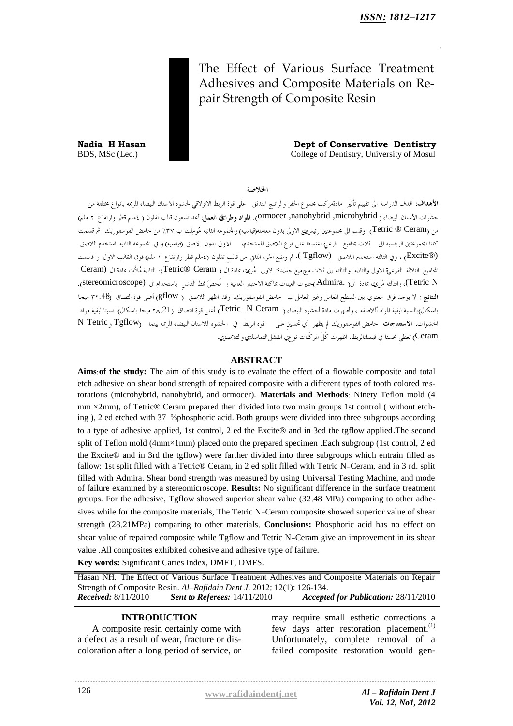The Effect of Various Surface Treatment Adhesives and Composite Materials on Repair Strength of Composite Resin

**Nadia H Hasan Dept of Conservative Dentistry** BDS, MSc (Lec.) College of Dentistry, University of Mosul

#### الخلاصة

ا**لأهداف**: تمدف الدراسة الى تقييم تأثير مادةمركب مجموع الحفر والراتنج المتدفق على قوة الربط الانزلاقي لحشوه الاسنان البيضاء المرممه بانواع مختلفة من حشوات الأسنان البيضاء ( ormocer ,nanohybrid ,microhybrid ). المواد وطرائق العمل: أعد تسعون قالب تفلون ( ٤ملم قطر وارتفاع ٢ ملم) من (Tetric ® Ceram) وقسم الى مجموعتين رئيسريتي الاولى بدون معامله(قياسيه) والمجموعه الثانيه عُومِلت ب ٣٧٪ من حامض الفوسفوريك. ثم قسمت .<br>كلتا المحموعتين الريئسيه الى ثلاث مجاميع فرعية اعتمادا على نوع اللاصق المستخدم، الاولى بدون الرَّصق (قياسيه) و في المجموعه الثانيه استخدم اللاصق (Excite®) ، وفي الثالثه استخدم اللاصق (Tgflow ). ثم وضع الجزء الثاني من قالب تفلون (٤ملم قطر وارتفاع ١ ملم) فوق القالب الاول و قسمت المحاميع الثلاثة الفرعية الاولى والثانيه والثالثه إلى ثلاث مجاميع جديدة: الاولى مُرايح، عادة ال ( Tetric® Ceram)، الثانية مُلأَت بمادة ال (Ceram Tetric N)، والثالثه مُإ يمِّ بمادة ال( .Admira)ختيرت العينات بماكنة الاختبار العالمية و فَحصَ نمط الفشل باستخدام ال (stereomicroscope). ا**لنتائج** : لا يوحد فرق معنوي بين السطح المعامل وغير المعامل ب حامض الفوسفوريك. وقد اظهر اللاصق (gflow) أعلى قوة التصاق (٢٢.48 ميحا باسكال»بالنسبة لبقية المواد أللاصقه ، وأظهرت مادة ألحشوه البيضاء ( Tetric N Ceram) أعلى قوة التصاق (7x.21 ميجا باسكال) نسبتا لبقية مواد الحشوات. الاستنتاجات حامض الفوسفوريك لم يظهر أي تحسين على قوه الربط في الحشوه للاسنان البيضاء المرممه بينما Tgflow و N Tetric و N Ceram) تعطي تحسنا في قيملثالربط. اظهرت كُلِّ المركّبات نو عي الفشل التماسك، والتلاصق،

#### **ABSTRACT**

**Aims of the study:** The aim of this study is to evaluate the effect of a flowable composite and total etch adhesive on shear bond strength of repaired composite with a different types of tooth colored restorations (microhybrid, nanohybrid, and ormocer). Materials and Methods: Ninety Teflon mold (4 mm ×2mm), of Tetric® Ceram prepared then divided into two main groups 1st control ( without etching ), 2 ed etched with 37 %phosphoric acid. Both groups were divided into three subgroups according to a type of adhesive applied, 1st control, 2 ed the Excite® and in 3ed the tgflow applied The second split of Teflon mold (4mm×1mm) placed onto the prepared specimen . Each subgroup (1st control, 2 ed the Excite® and in 3rd the tgflow) were farther divided into three subgroups which entrain filled as fallow: 1st split filled with a Tetric<sup>®</sup> Ceram, in 2 ed split filled with Tetric N-Ceram, and in 3 rd. split filled with Admira. Shear bond strength was measured by using Universal Testing Machine, and mode of failure examined by a stereomicroscope. **Results:** No significant difference in the surface treatment groups. For the adhesive, Tgflow showed superior shear value (32 48 MPa) comparing to other adhesives while for the composite materials, The Tetric N-Ceram composite showed superior value of shear strength (28 21MPa) comparing to other materials **Conclusions:** Phosphoric acid has no effect on shear value of repaired composite while Tgflow and Tetric N-Ceram give an improvement in its shear value All composites exhibited cohesive and adhesive type of failure.

**Key words:** Significant Caries Index, DMFT, DMFS.

Hasan NH. The Effect of Various Surface Treatment Adhesives and Composite Materials on Repair Strength of Composite Resin. *Al–Rafidain Dent J*. 2012; 12(1): 126-134. *Received:* 8/11/2010 *Sent to Referees:* 14/11/2010 *Accepted for Publication:* 28/11/2010

### **INTRODUCTION**

A composite resin certainly come with a defect as a result of wear, fracture or discoloration after a long period of service, or may require small esthetic corrections a few days after restoration placement.<sup>(1)</sup> Unfortunately, complete removal of a failed composite restoration would gen-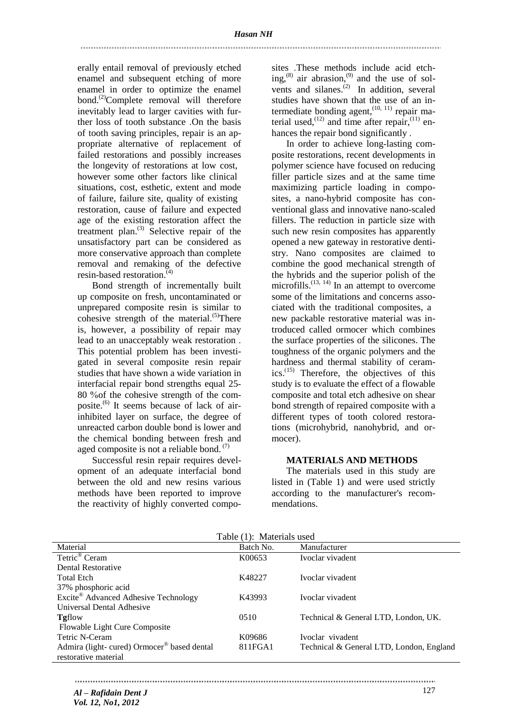erally entail removal of previously etched enamel and subsequent etching of more enamel in order to optimize the enamel bond.<sup>(2)</sup>Complete removal will therefore inevitably lead to larger cavities with further loss of tooth substance .On the basis of tooth saving principles, repair is an appropriate alternative of replacement of failed restorations and possibly increases the longevity of restorations at low cost, however some other factors like clinical situations, cost, esthetic, extent and mode of failure, failure site, quality of existing restoration, cause of failure and expected age of the existing restoration affect the treatment plan.<sup>(3)</sup> Selective repair of the unsatisfactory part can be considered as more conservative approach than complete removal and remaking of the defective resin-based restoration.<sup>(4)</sup>

Bond strength of incrementally built up composite on fresh, uncontaminated or unprepared composite resin is similar to cohesive strength of the material.<sup>(5)</sup>There is, however, a possibility of repair may lead to an unacceptably weak restoration . This potential problem has been investigated in several composite resin repair studies that have shown a wide variation in interfacial repair bond strengths equal 25- 80 %of the cohesive strength of the composite. (6) It seems because of lack of airinhibited layer on surface, the degree of unreacted carbon double bond is lower and the chemical bonding between fresh and aged composite is not a reliable bond. $(7)$ 

Successful resin repair requires development of an adequate interfacial bond between the old and new resins various methods have been reported to improve the reactivity of highly converted composites .These methods include acid etching,  $^{(8)}$  air abrasion,  $^{(9)}$  and the use of solvents and silanes.<sup>(2)</sup> In addition, several studies have shown that the use of an intermediate bonding agent,  $(10, 11)$  repair material used,  $(12)$  and time after repair,  $(11)$  enhances the repair bond significantly .

In order to achieve long-lasting composite restorations, recent developments in polymer science have focused on reducing filler particle sizes and at the same time maximizing particle loading in composites, a nano-hybrid composite has conventional glass and innovative nano-scaled fillers. The reduction in particle size with such new resin composites has apparently opened a new gateway in restorative dentistry. Nano composites are claimed to combine the good mechanical strength of the hybrids and the superior polish of the microfills.<sup>(13, 14)</sup> In an attempt to overcome some of the limitations and concerns associated with the traditional composites, a new packable restorative material was introduced called ormocer which combines the surface properties of the silicones. The toughness of the organic polymers and the hardness and thermal stability of ceramics.<sup>(15)</sup> Therefore, the objectives of this study is to evaluate the effect of a flowable composite and total etch adhesive on shear bond strength of repaired composite with a different types of tooth colored restorations (microhybrid, nanohybrid, and ormocer).

#### **MATERIALS AND METHODS**

The materials used in this study are listed in (Table 1) and were used strictly according to the manufacturer's recommendations.

|                                                  | Table (1): Materials used |                                          |
|--------------------------------------------------|---------------------------|------------------------------------------|
| Material                                         | Batch No.                 | Manufacturer                             |
| Tetric <sup>®</sup> Ceram                        | K00653                    | Ivoclar vivadent                         |
| Dental Restorative                               |                           |                                          |
| <b>Total Etch</b>                                | K48227                    | Ivoclar vivadent                         |
| 37% phosphoric acid                              |                           |                                          |
| Excite <sup>®</sup> Advanced Adhesive Technology | K43993                    | Ivoclar vivadent                         |
| Universal Dental Adhesive                        |                           |                                          |
| <b>Tgflow</b>                                    | 0510                      | Technical & General LTD, London, UK.     |
| Flowable Light Cure Composite                    |                           |                                          |
| Tetric N-Ceram                                   | K09686                    | Ivoclar vivadent                         |
| Admira (light-cured) Ormocer® based dental       | 811FGA1                   | Technical & General LTD, London, England |
| restorative material                             |                           |                                          |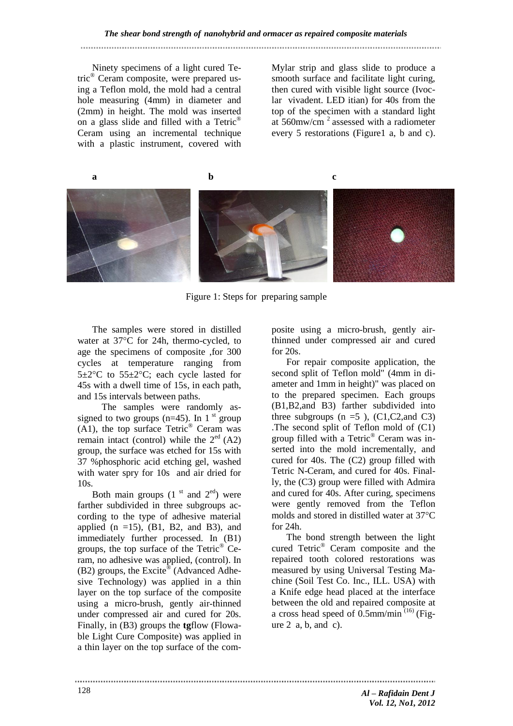Ninety specimens of a light cured Tetric® Ceram composite, were prepared using a Teflon mold, the mold had a central hole measuring (4mm) in diameter and (2mm) in height. The mold was inserted on a glass slide and filled with a Tetric<sup>®</sup> Ceram using an incremental technique with a plastic instrument, covered with

Mylar strip and glass slide to produce a smooth surface and facilitate light curing, then cured with visible light source (Ivoclar vivadent. LED itian) for 40s from the top of the specimen with a standard light at  $560$ mw/cm<sup>2</sup> assessed with a radiometer every 5 restorations (Figure1 a, b and c).



Figure 1: Steps for preparing sample

The samples were stored in distilled water at  $37^{\circ}$ C for 24h, thermo-cycled, to age the specimens of composite ,for 300 cycles at temperature ranging from  $5\pm2\degree$ C to  $55\pm2\degree$ C; each cycle lasted for 45s with a dwell time of 15s, in each path, and 15s intervals between paths.

 The samples were randomly assigned to two groups ( $n=45$ ). In 1<sup>st</sup> group  $(A1)$ , the top surface Tetric<sup>®</sup> Ceram was remain intact (control) while the  $2<sup>ed</sup> (A2)$ group, the surface was etched for 15s with 37 %phosphoric acid etching gel, washed with water spry for 10s and air dried for 10s.

Both main groups  $(1<sup>st</sup>$  and  $2<sup>ed</sup>)$  were farther subdivided in three subgroups according to the type of adhesive material applied  $(n = 15)$ ,  $(B1, B2, and B3)$ , and immediately further processed. In (B1) groups, the top surface of the Tetric® Ceram, no adhesive was applied, (control). In  $(B2)$  groups, the Excite<sup>®</sup> (Advanced Adhesive Technology) was applied in a thin layer on the top surface of the composite using a micro-brush, gently air-thinned under compressed air and cured for 20s. Finally, in (B3) groups the **tg**flow (Flowable Light Cure Composite) was applied in a thin layer on the top surface of the composite using a micro-brush, gently airthinned under compressed air and cured for 20s.

For repair composite application, the second split of Teflon mold" (4mm in diameter and 1mm in height)" was placed on to the prepared specimen. Each groups (B1,B2,and B3) farther subdivided into three subgroups  $(n = 5)$ ,  $(C1, C2, and C3)$ .The second split of Teflon mold of (C1) group filled with a Tetric® Ceram was inserted into the mold incrementally, and cured for 40s. The (C2) group filled with Tetric N-Ceram, and cured for 40s. Finally, the (C3) group were filled with Admira and cured for 40s. After curing, specimens were gently removed from the Teflon molds and stored in distilled water at 37°C for 24h.

The bond strength between the light cured Tetric® Ceram composite and the repaired tooth colored restorations was measured by using Universal Testing Machine (Soil Test Co. Inc., ILL. USA) with a Knife edge head placed at the interface between the old and repaired composite at a cross head speed of  $0.5$ mm/min<sup> $(16)$ </sup> (Figure  $2$  a, b, and c).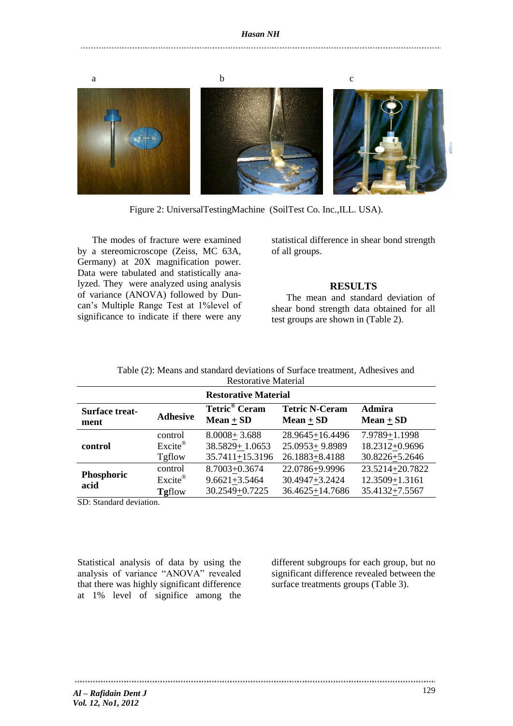

Figure 2: UniversalTestingMachine (SoilTest Co. Inc.,ILL. USA).

The modes of fracture were examined by a stereomicroscope (Zeiss, MC 63A, Germany) at 20X magnification power. Data were tabulated and statistically analyzed. They were analyzed using analysis of variance (ANOVA) followed by Duncan's Multiple Range Test at 1%level of significance to indicate if there were any statistical difference in shear bond strength of all groups.

#### **RESULTS**

The mean and standard deviation of shear bond strength data obtained for all test groups are shown in (Table 2).

| NCSUMATIVE IVIAUTHAI          |                                                   |                                                       |                                                             |                                                     |  |  |  |  |
|-------------------------------|---------------------------------------------------|-------------------------------------------------------|-------------------------------------------------------------|-----------------------------------------------------|--|--|--|--|
| <b>Restorative Material</b>   |                                                   |                                                       |                                                             |                                                     |  |  |  |  |
| <b>Surface treat-</b><br>ment | <b>Adhesive</b>                                   | Tetric <sup>®</sup> Ceram<br>$Mean + SD$              | <b>Tetric N-Ceram</b><br>$Mean + SD$                        | Admira<br>$Mean + SD$                               |  |  |  |  |
| control                       | control<br>$Excite^{\circledR}$<br><b>T</b> gflow | $8.0008 + 3.688$<br>38.5829+1.0653<br>35.7411+15.3196 | 28.9645+16.4496<br>$25.0953 + 9.8989$<br>$26.1883 + 8.4188$ | 7.9789+1.1998<br>18.2312+0.9696<br>30.8226+5.2646   |  |  |  |  |
| Phosphoric<br>acid            | control<br>$Excite^{\circledR}$<br>Tgflow         | 8.7003+0.3674<br>$9.6621 + 3.5464$<br>30.2549+0.7225  | 22.0786+9.9996<br>30.4947+3.2424<br>36.4625+14.7686         | 23.5214+20.7822<br>12.3509+1.3161<br>35.4132+7.5567 |  |  |  |  |

Table (2): Means and standard deviations of Surface treatment, Adhesives and Restorative Material

SD: Standard deviation.

Statistical analysis of data by using the analysis of variance "ANOVA" revealed that there was highly significant difference at 1% level of significe among the

different subgroups for each group, but no significant difference revealed between the surface treatments groups (Table 3).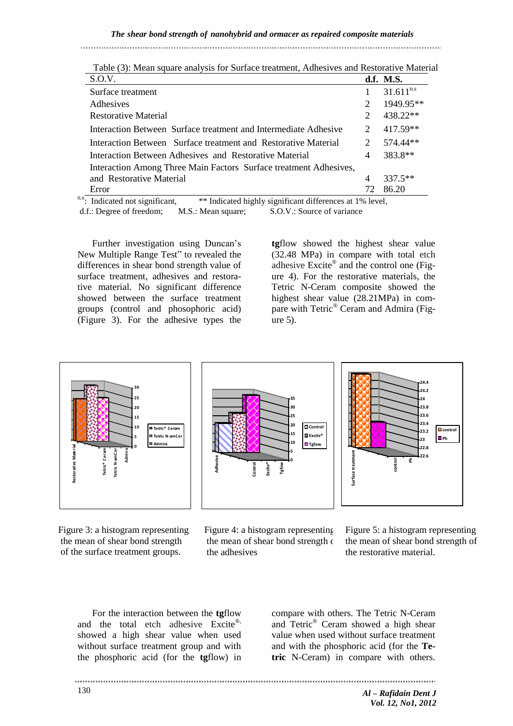*The shear bond strength of nanohybrid and ormacer as repaired composite materials*

| S.O.V.                                                            |    | d.f. M.S.      |
|-------------------------------------------------------------------|----|----------------|
| Surface treatment                                                 |    | $31.611^{n.s}$ |
| Adhesives                                                         |    | 1949.95**      |
| Restorative Material                                              |    | 438.22**       |
| Interaction Between Surface treatment and Intermediate Adhesive   |    | 417.59**       |
| Interaction Between Surface treatment and Restorative Material    |    | 574.44**       |
| Interaction Between Adhesives and Restorative Material            | 4  | 383.8**        |
| Interaction Among Three Main Factors Surface treatment Adhesives, |    |                |
| and Restorative Material                                          |    | $337.5**$      |
| Error                                                             | 72 | 86.20          |

Table (3): Mean square analysis for Surface treatment, Adhesives and Restorative Material

n.s. Indicated not significant, \*\* Indicated highly significant differences at 1% level,

d.f.: Degree of freedom; M.S.: Mean square; S.O.V.: Source of variance

Further investigation using Duncan's New Multiple Range Test" to revealed the differences in shear bond strength value of surface treatment, adhesives and restorative material. No significant difference showed between the surface treatment groups (control and phosophoric acid) (Figure 3). For the adhesive types the

**tg**flow showed the highest shear value (32.48 MPa) in compare with total etch adhesive Excite® and the control one (Figure 4). For the restorative materials, the Tetric N-Ceram composite showed the highest shear value (28.21MPa) in compare with Tetric® Ceram and Admira (Figure 5).



Figure 3: a histogram representing the mean of shear bond strength of the surface treatment groups.

Figure 4: a histogram representing the mean of shear bond strength of the adhesives

Figure 5: a histogram representing the mean of shear bond strength of the restorative material.

For the interaction between the **tg**flow and the total etch adhesive Excite®, showed a high shear value when used without surface treatment group and with the phosphoric acid (for the **tg**flow) in

compare with others. The Tetric N-Ceram and Tetric® Ceram showed a high shear value when used without surface treatment and with the phosphoric acid (for the **Tetric** N-Ceram) in compare with others.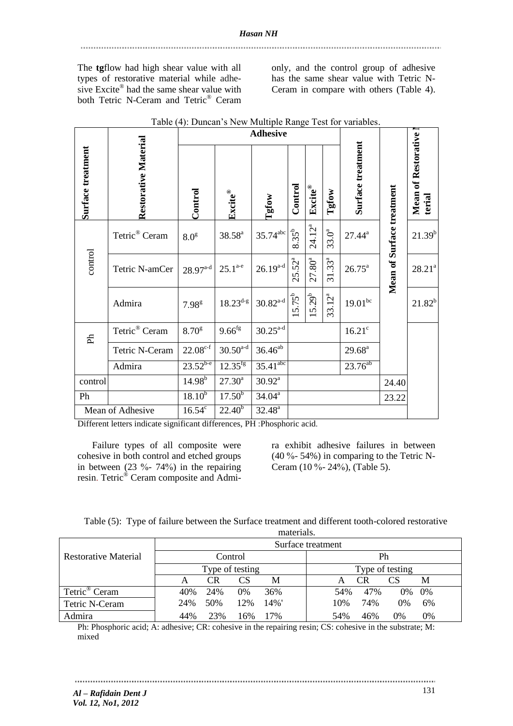The **tg**flow had high shear value with all types of restorative material while adhesive Excite ® had the same shear value with both Tetric N-Ceram and Tetric® Ceram only, and the control group of adhesive has the same shear value with Tetric N-Ceram in compare with others (Table 4).

| Table (4): Duncan's New Multiple Range Test for variables. |                           |                        |                         |                               |                     |                        |                                     |                      |                           |                               |
|------------------------------------------------------------|---------------------------|------------------------|-------------------------|-------------------------------|---------------------|------------------------|-------------------------------------|----------------------|---------------------------|-------------------------------|
|                                                            |                           | <b>Adhesive</b>        |                         |                               |                     |                        |                                     |                      |                           |                               |
| Surface treatment                                          | Restorative Material      | Control                | $\mathbb{Excite}^\circ$ | Tgfow                         | Control             | Excite®                | Tgfow                               | Surface treatment    | Mean of Surface treatment | Mean of Restorative<br>terial |
|                                                            | Tetric® Ceram             | $8.0^{\rm g}$          | $38.58^{a}$             | $35.74^{abc}$                 | $.35^b$<br>$\infty$ | $24.12^{a}$            | $33.0^{a}$                          | $27.44^a$            |                           | $21.39^{b}$                   |
| control                                                    | Tetric N-amCer            | $28.97^{a-d}$          | $25.1^{a-e}$            | $26.19^{a-d}$                 | $52^a$<br>25.       | $27.80^{a}$            | .33 <sup>a</sup><br>$\overline{31}$ | $26.75^{\text{a}}$   |                           | $28.21^{a}$                   |
|                                                            | Admira                    | $7.98^{\rm g}$         | $18.23^{\textrm{d-g}}$  | $30.82^{a-d}$                 | $15.75^{b}$         | $-29^{b}$<br><u>15</u> | 33.12 <sup>a</sup>                  | $19.01^{bc}$         |                           | $21.82^{b}$                   |
| Ě                                                          | Tetric <sup>®</sup> Ceram | 8.70 <sup>g</sup>      | $9.66^{fg}$             | $30.25^{\mathrm{a\text{-}d}}$ |                     |                        |                                     | $16.21$ <sup>c</sup> |                           |                               |
|                                                            | Tetric N-Ceram            | $22.08^{c-f}$          | $30.50^{a-d}$           | $36.46^{ab}$                  |                     |                        |                                     | $29.68^{\text{a}}$   |                           |                               |
|                                                            | Admira                    | $23.52^{b-e}$          | $12.35$ <sup>fg</sup>   | $35.41$ <sup>abc</sup>        |                     |                        |                                     | $23.76^{ab}$         |                           |                               |
| control                                                    |                           | $14.98^{b}$            | $27.30^{a}$             | $30.92^{\text{a}}$            |                     |                        |                                     |                      | 24.40                     |                               |
| Ph                                                         |                           | $18.\overline{10^{b}}$ | $17.50^{b}$             | $34.04^a$                     |                     |                        |                                     |                      | 23.22                     |                               |
|                                                            | Mean of Adhesive          | $16.54^c$              | $22.40^{b}$             | $32.48^a$                     |                     |                        |                                     |                      |                           |                               |

| Table (4): Duncan's New Multiple Range Test for variables. |  |
|------------------------------------------------------------|--|
|                                                            |  |

Different letters indicate significant differences, PH :Phosphoric acid.

Failure types of all composite were cohesive in both control and etched groups in between  $(23 \frac{9}{6} - 74\%)$  in the repairing resin. Tetric® Ceram composite and Admira exhibit adhesive failures in between (40 %- 54%) in comparing to the Tetric N-Ceram (10 %- 24%), (Table 5).

| Table (5): Type of failure between the Surface treatment and different tooth-colored restorative |  |           |  |  |  |
|--------------------------------------------------------------------------------------------------|--|-----------|--|--|--|
|                                                                                                  |  | materiale |  |  |  |

| піастіаіз.                |                   |           |       |        |     |                 |       |    |  |  |
|---------------------------|-------------------|-----------|-------|--------|-----|-----------------|-------|----|--|--|
|                           | Surface treatment |           |       |        |     |                 |       |    |  |  |
| Restorative Material      | Control           |           |       |        | Ph  |                 |       |    |  |  |
|                           | Type of testing   |           |       |        |     | Type of testing |       |    |  |  |
|                           | A                 | <b>CR</b> | CS    | М      | A   | <b>CR</b>       | CS    | M  |  |  |
| Tetric <sup>®</sup> Ceram | 40%               | 24%       | $0\%$ | 36%    | 54% | 47%             | $0\%$ | 0% |  |  |
| Tetric N-Ceram            | 24%               | 50%       | 12%   | $14\%$ | 10% | 74%             | $0\%$ | 6% |  |  |
| Admira                    | 44%               | 23%       | 16%   | 17%    | 54% | 46%             | $0\%$ | 0% |  |  |

Ph: Phosphoric acid; A: adhesive; CR: cohesive in the repairing resin; CS: cohesive in the substrate; M: mixed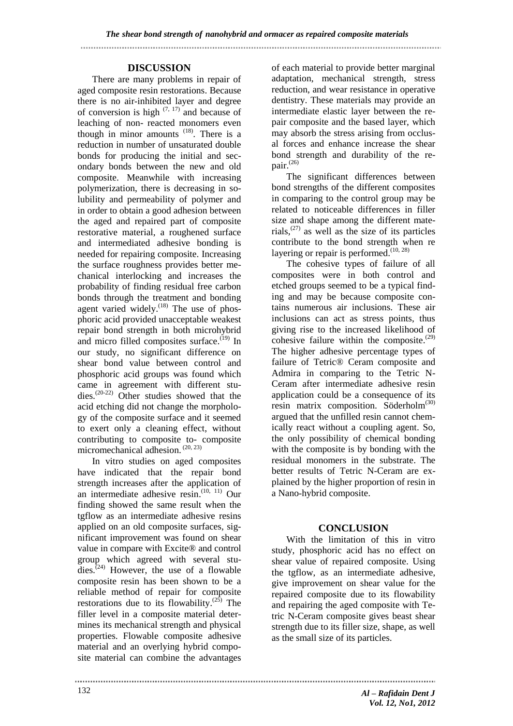## **DISCUSSION**

There are many problems in repair of aged composite resin restorations. Because there is no air-inhibited layer and degree of conversion is high  $(7, 17)$  and because of leaching of non- reacted monomers even though in minor amounts  $(18)$ . There is a reduction in number of unsaturated double bonds for producing the initial and secondary bonds between the new and old composite. Meanwhile with increasing polymerization, there is decreasing in solubility and permeability of polymer and in order to obtain a good adhesion between the aged and repaired part of composite restorative material, a roughened surface and intermediated adhesive bonding is needed for repairing composite. Increasing the surface roughness provides better mechanical interlocking and increases the probability of finding residual free carbon bonds through the treatment and bonding agent varied widely.<sup>(18)</sup> The use of phosphoric acid provided unacceptable weakest repair bond strength in both microhybrid and micro filled composites surface.<sup>(19)</sup> In our study, no significant difference on shear bond value between control and phosphoric acid groups was found which came in agreement with different studies. (20-22) Other studies showed that the acid etching did not change the morphology of the composite surface and it seemed to exert only a cleaning effect, without contributing to composite to- composite micromechanical adhesion.<sup>(20, 23)</sup>

In vitro studies on aged composites have indicated that the repair bond strength increases after the application of an intermediate adhesive resin.  $(10, 11)$  Our finding showed the same result when the tgflow as an intermediate adhesive resins applied on an old composite surfaces, significant improvement was found on shear value in compare with Excite® and control group which agreed with several studies.<sup> $(24)$ </sup> However, the use of a flowable composite resin has been shown to be a reliable method of repair for composite restorations due to its flowability.<sup> $(25)$ </sup> The filler level in a composite material determines its mechanical strength and physical properties. Flowable composite adhesive material and an overlying hybrid composite material can combine the advantages of each material to provide better marginal adaptation, mechanical strength, stress reduction, and wear resistance in operative dentistry. These materials may provide an intermediate elastic layer between the repair composite and the based layer, which may absorb the stress arising from occlusal forces and enhance increase the shear bond strength and durability of the repair. (26)

The significant differences between bond strengths of the different composites in comparing to the control group may be related to noticeable differences in filler size and shape among the different materials,  $(27)$  as well as the size of its particles contribute to the bond strength when re layering or repair is performed.  $(10, 28)$ 

The cohesive types of failure of all composites were in both control and etched groups seemed to be a typical finding and may be because composite contains numerous air inclusions. These air inclusions can act as stress points, thus giving rise to the increased likelihood of cohesive failure within the composite.<sup>(29)</sup> The higher adhesive percentage types of failure of Tetric® Ceram composite and Admira in comparing to the Tetric N-Ceram after intermediate adhesive resin application could be a consequence of its resin matrix composition. Söderholm<sup>(30)</sup> argued that the unfilled resin cannot chemically react without a coupling agent. So, the only possibility of chemical bonding with the composite is by bonding with the residual monomers in the substrate. The better results of Tetric N-Ceram are explained by the higher proportion of resin in a Nano-hybrid composite.

# **CONCLUSION**

With the limitation of this in vitro study, phosphoric acid has no effect on shear value of repaired composite. Using the tgflow, as an intermediate adhesive, give improvement on shear value for the repaired composite due to its flowability and repairing the aged composite with Tetric N-Ceram composite gives beast shear strength due to its filler size, shape, as well as the small size of its particles.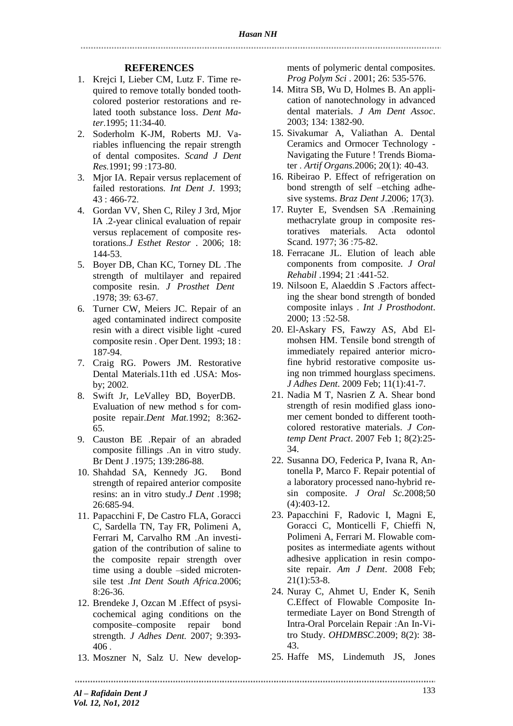### **REFERENCES**

- 1. Krejci I, Lieber CM, Lutz F. Time required to remove totally bonded toothcolored posterior restorations and related tooth substance loss. *Dent Mater*.1995; 11:34-40.
- 2. Soderholm K-JM, Roberts MJ. Variables influencing the repair strength of dental composites. *Scand J Dent Res*.1991; 99 :173-80.
- 3. Mjor IA. Repair versus replacement of failed restorations. *Int Dent J*. 1993; 43 : 466-72.
- 4. Gordan VV, Shen C, Riley J 3rd, Mjor IA .2-year clinical evaluation of repair versus replacement of composite restorations.*J Esthet Restor* . 2006; 18: 144-53.
- 5. Boyer DB, Chan KC, Torney DL .The strength of multilayer and repaired composite resin. *J Prosthet Dent* .1978; 39: 63-67.
- 6. Turner CW, Meiers JC. Repair of an aged contaminated indirect composite resin with a direct visible light -cured composite resin . Oper Dent. 1993; 18 : 187-94.
- 7. Craig RG. Powers JM. Restorative Dental Materials.11th ed .USA: Mosby; 2002.
- 8. Swift Jr, LeValley BD, BoyerDB. Evaluation of new method s for composite repair.*Dent Mat*.1992; 8:362- 65.
- 9. Causton BE .Repair of an abraded composite fillings .An in vitro study. Br Dent J .1975; 139:286-88.
- 10. Shahdad SA, Kennedy JG. Bond strength of repaired anterior composite resins: an in vitro study.*J Dent* .1998; 26:685-94.
- 11. Papacchini F, De Castro FLA, Goracci C, Sardella TN, Tay FR, Polimeni A, Ferrari M, Carvalho RM .An investigation of the contribution of saline to the composite repair strength over time using a double –sided microtensile test .*Int Dent South Africa*.2006; 8:26-36.
- 12. Brendeke J, Ozcan M .Effect of psysicochemical aging conditions on the composite–composite repair bond strength. *J Adhes Dent*. 2007; 9:393- 406 .
- 13. Moszner N, Salz U. New develop-

ments of polymeric dental composites. *Prog Polym Sci* . 2001; 26: 535-576.

- 14. Mitra SB, Wu D, Holmes B. An application of nanotechnology in advanced dental materials. *J Am Dent Assoc*. 2003; 134: 1382-90.
- 15. Sivakumar A, Valiathan A. Dental Ceramics and Ormocer Technology - Navigating the Future ! Trends Biomater . *Artif Organs*. 2006; 20(1): 40-43.
- 16. Ribeirao P. Effect of refrigeration on bond strength of self –etching adhesive systems. *Braz Dent J*.2006; 17(3).
- 17. Ruyter E, Svendsen SA .Remaining methacrylate group in composite restoratives materials. Acta odontol Scand. 1977: 36 .75-82.
- 18. Ferracane JL. Elution of leach able components from composite*. J Oral Rehabil* .1994; 21 :441-52.
- 19. Nilsoon E, Alaeddin S .Factors affecting the shear bond strength of bonded composite inlays . *Int J Prosthodont*. 2000; 13 :52-58.
- 20. [El-Askary FS,](http://www.ncbi.nlm.nih.gov/pubmed?term=%22El-Askary%20FS%22%5BAuthor%5D) [Fawzy AS,](http://www.ncbi.nlm.nih.gov/pubmed?term=%22Fawzy%20AS%22%5BAuthor%5D) [Abd El](http://www.ncbi.nlm.nih.gov/pubmed?term=%22Abd%20Elmohsen%20HM%22%5BAuthor%5D)[mohsen HM.](http://www.ncbi.nlm.nih.gov/pubmed?term=%22Abd%20Elmohsen%20HM%22%5BAuthor%5D) Tensile bond strength of immediately repaired anterior microfine hybrid restorative composite using non trimmed hourglass specimens. *[J Adhes Dent.](javascript:AL_get(this,%20)* 2009 Feb; 11(1):41-7.
- 21. Nadia M T, Nasrien Z A. Shear bond strength of resin modified glass ionomer cement bonded to different toothcolored restorative materials. *[J Con](javascript:AL_get(this,%20)[temp Dent Pract](javascript:AL_get(this,%20)*. 2007 Feb 1; 8(2):25- 34.
- 22. Susanna DO, Federica P, Ivana R, Antonella P, Marco F. Repair potential of a laboratory processed nano-hybrid resin composite. *J Oral Sc.*2008;50 (4):403-12.
- 23. [Papacchini F,](http://www.ncbi.nlm.nih.gov/pubmed?term=%22Papacchini%20F%22%5BAuthor%5D) [Radovic I,](http://www.ncbi.nlm.nih.gov/pubmed?term=%22Radovic%20I%22%5BAuthor%5D) [Magni E,](http://www.ncbi.nlm.nih.gov/pubmed?term=%22Magni%20E%22%5BAuthor%5D) [Goracci C,](http://www.ncbi.nlm.nih.gov/pubmed?term=%22Goracci%20C%22%5BAuthor%5D) [Monticelli F,](http://www.ncbi.nlm.nih.gov/pubmed?term=%22Monticelli%20F%22%5BAuthor%5D) [Chieffi N,](http://www.ncbi.nlm.nih.gov/pubmed?term=%22Chieffi%20N%22%5BAuthor%5D) [Polimeni A,](http://www.ncbi.nlm.nih.gov/pubmed?term=%22Polimeni%20A%22%5BAuthor%5D) [Ferrari M.](http://www.ncbi.nlm.nih.gov/pubmed?term=%22Ferrari%20M%22%5BAuthor%5D) Flowable composites as intermediate agents without adhesive application in resin composite repair. *[Am J Dent](javascript:AL_get(this,%20)*. 2008 Feb;  $21(1):53-8.$
- 24. Nuray C, Ahmet U, Ender K, Senih C.Effect of Flowable Composite Intermediate Layer on Bond Strength of Intra-Oral Porcelain Repair :An In-Vitro Study. *OHDMBSC*.2009; 8(2): 38- 43.
- 25. Haffe MS, Lindemuth JS, Jones

*Al – Rafidain Dent J Vol. 12, No1, 2012*